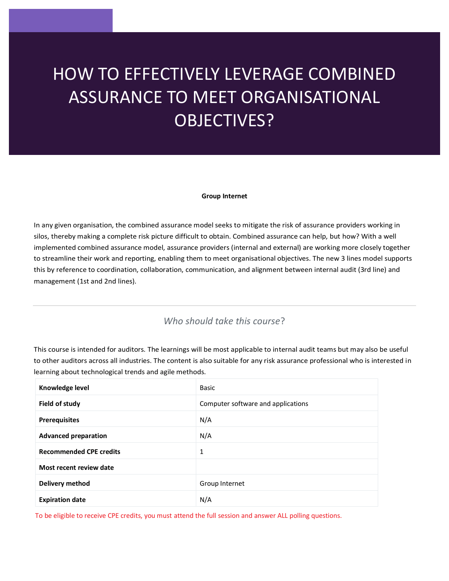# ? HOW TO EFFECTIVELY LEVERAGE COMBINED ASSURANCE TO MEET ORGANISATIONAL OBJECTIVES?

#### **Group Internet**

In any given organisation, the combined assurance model seeks to mitigate the risk of assurance providers working in silos, thereby making a complete risk picture difficult to obtain. Combined assurance can help, but how? With a well implemented combined assurance model, assurance providers (internal and external) are working more closely together to streamline their work and reporting, enabling them to meet organisational objectives. The new 3 lines model supports this by reference to coordination, collaboration, communication, and alignment between internal audit (3rd line) and management (1st and 2nd lines).

# *Who should take this course*?

This course is intended for auditors. The learnings will be most applicable to internal audit teams but may also be useful to other auditors across all industries. The content is also suitable for any risk assurance professional who is interested in learning about technological trends and agile methods.

| Knowledge level                | Basic                              |
|--------------------------------|------------------------------------|
| Field of study                 | Computer software and applications |
| <b>Prerequisites</b>           | N/A                                |
| <b>Advanced preparation</b>    | N/A                                |
| <b>Recommended CPE credits</b> | 1                                  |
| Most recent review date        |                                    |
| Delivery method                | Group Internet                     |
| <b>Expiration date</b>         | N/A                                |

To be eligible to receive CPE credits, you must attend the full session and answer ALL polling questions.